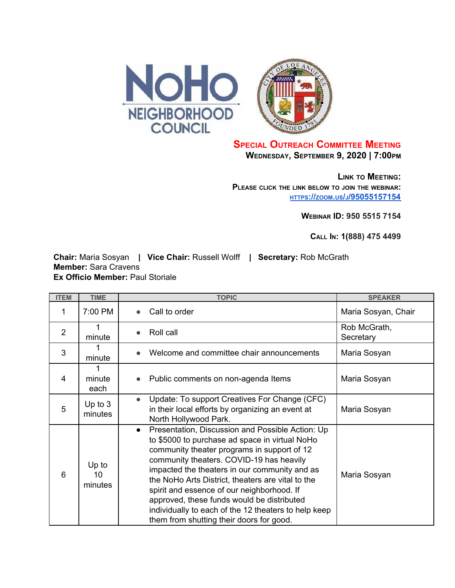



## **SPECIAL OUTREACH COMMITTEE MEETING WEDNESDAY, SEPTEMBER 9, 2020 | 7:00PM**

**LINK TO MEETING: PLEASE CLICK THE LINK BELOW TO JOIN THE WEBINAR: [HTTPS](https://zoom.us/j/95055157154)[://](https://zoom.us/j/95055157154)[ZOOM](https://zoom.us/j/95055157154)[.](https://zoom.us/j/95055157154)[US](https://zoom.us/j/95055157154)[/](https://zoom.us/j/95055157154)[J](https://zoom.us/j/95055157154)[/95055157154](https://zoom.us/j/95055157154)**

**WEBINAR ID: 950 5515 7154**

**CALL IN: 1(888) 475 4499**

**Chair:** Maria Sosyan **| Vice Chair:** Russell Wolff **| Secretary:** Rob McGrath **Member:** Sara Cravens **Ex Officio Member:** Paul Storiale

| <b>ITEM</b>    | <b>TIME</b>            | <b>TOPIC</b>                                                                                                                                                                                                                                                                                                                                                                                                                                                                                                     | <b>SPEAKER</b>            |
|----------------|------------------------|------------------------------------------------------------------------------------------------------------------------------------------------------------------------------------------------------------------------------------------------------------------------------------------------------------------------------------------------------------------------------------------------------------------------------------------------------------------------------------------------------------------|---------------------------|
| 1              | 7:00 PM                | Call to order<br>$\bullet$                                                                                                                                                                                                                                                                                                                                                                                                                                                                                       | Maria Sosyan, Chair       |
| $\overline{2}$ | minute                 | Roll call<br>$\bullet$                                                                                                                                                                                                                                                                                                                                                                                                                                                                                           | Rob McGrath,<br>Secretary |
| 3              | minute                 | Welcome and committee chair announcements                                                                                                                                                                                                                                                                                                                                                                                                                                                                        | Maria Sosyan              |
| 4              | minute<br>each         | Public comments on non-agenda Items<br>$\bullet$                                                                                                                                                                                                                                                                                                                                                                                                                                                                 | Maria Sosyan              |
| 5              | Up to $3$<br>minutes   | Update: To support Creatives For Change (CFC)<br>$\bullet$<br>in their local efforts by organizing an event at<br>North Hollywood Park.                                                                                                                                                                                                                                                                                                                                                                          | Maria Sosyan              |
| 6              | Up to<br>10<br>minutes | Presentation, Discussion and Possible Action: Up<br>$\bullet$<br>to \$5000 to purchase ad space in virtual NoHo<br>community theater programs in support of 12<br>community theaters. COVID-19 has heavily<br>impacted the theaters in our community and as<br>the NoHo Arts District, theaters are vital to the<br>spirit and essence of our neighborhood. If<br>approved, these funds would be distributed<br>individually to each of the 12 theaters to help keep<br>them from shutting their doors for good. | Maria Sosyan              |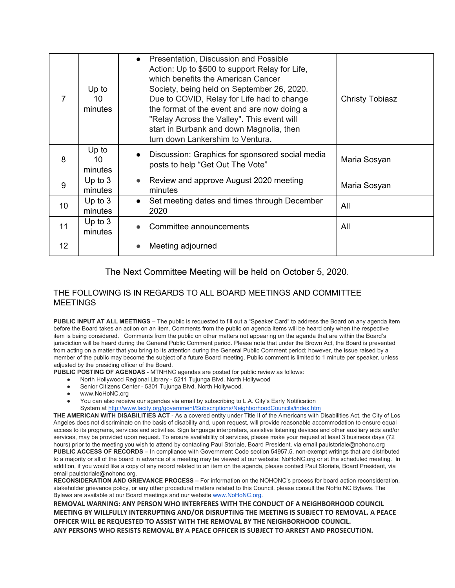|    | Up to<br>10<br>minutes | • Presentation, Discussion and Possible<br>Action: Up to \$500 to support Relay for Life,<br>which benefits the American Cancer<br>Society, being held on September 26, 2020.<br>Due to COVID, Relay for Life had to change<br>the format of the event and are now doing a<br>"Relay Across the Valley". This event will<br>start in Burbank and down Magnolia, then<br>turn down Lankershim to Ventura. | <b>Christy Tobiasz</b> |
|----|------------------------|----------------------------------------------------------------------------------------------------------------------------------------------------------------------------------------------------------------------------------------------------------------------------------------------------------------------------------------------------------------------------------------------------------|------------------------|
| 8  | Up to<br>10<br>minutes | Discussion: Graphics for sponsored social media<br>$\bullet$<br>posts to help "Get Out The Vote"                                                                                                                                                                                                                                                                                                         | Maria Sosyan           |
| 9  | Up to $3$<br>minutes   | Review and approve August 2020 meeting<br>$\bullet$<br>minutes                                                                                                                                                                                                                                                                                                                                           | Maria Sosyan           |
| 10 | Up to $3$<br>minutes   | Set meeting dates and times through December<br>$\bullet$<br>2020                                                                                                                                                                                                                                                                                                                                        | All                    |
| 11 | Up to $3$<br>minutes   | Committee announcements                                                                                                                                                                                                                                                                                                                                                                                  | All                    |
| 12 |                        | Meeting adjourned                                                                                                                                                                                                                                                                                                                                                                                        |                        |

The Next Committee Meeting will be held on October 5, 2020.

## THE FOLLOWING IS IN REGARDS TO ALL BOARD MEETINGS AND COMMITTEE MEETINGS

**PUBLIC INPUT AT ALL MEETINGS** – The public is requested to fill out a "Speaker Card" to address the Board on any agenda item before the Board takes an action on an item. Comments from the public on agenda items will be heard only when the respective item is being considered. Comments from the public on other matters not appearing on the agenda that are within the Board's jurisdiction will be heard during the General Public Comment period. Please note that under the Brown Act, the Board is prevented from acting on a matter that you bring to its attention during the General Public Comment period; however, the issue raised by a member of the public may become the subject of a future Board meeting. Public comment is limited to 1 minute per speaker, unless adjusted by the presiding officer of the Board.

**PUBLIC POSTING OF AGENDAS** - MTNHNC agendas are posted for public review as follows:

- North Hollywood Regional Library 5211 Tujunga Blvd. North Hollywood
- Senior Citizens Center 5301 Tujunga Blvd. North Hollywood.
- www.NoHoNC.org
- You can also receive our agendas via email by subscribing to L.A. City's Early Notification System at <http://www.lacity.org/government/Subscriptions/NeighborhoodCouncils/index.htm>

**THE AMERICAN WITH DISABILITIES ACT** - As a covered entity under Title II of the Americans with Disabilities Act, the City of Los Angeles does not discriminate on the basis of disability and, upon request, will provide reasonable accommodation to ensure equal access to its programs, services and activities. Sign language interpreters, assistive listening devices and other auxiliary aids and/or services, may be provided upon request. To ensure availability of services, please make your request at least 3 business days (72 hours) prior to the meeting you wish to attend by contacting Paul Storiale, Board President, via email paulstoriale@nohonc.org **PUBLIC ACCESS OF RECORDS** – In compliance with Government Code section 54957.5, non-exempt writings that are distributed to a majority or all of the board in advance of a meeting may be viewed at our website: NoHoNC.org or at the scheduled meeting. In addition, if you would like a copy of any record related to an item on the agenda, please contact Paul Storiale, Board President, via email paulstoriale@nohonc.org.

**RECONSIDERATION AND GRIEVANCE PROCESS** – For information on the NOHONC's process for board action reconsideration, stakeholder grievance policy, or any other procedural matters related to this Council, please consult the NoHo NC Bylaws. The Bylaws are available at our Board meetings and our website [www.NoHoNC.org.](http://www.nohonc.org/)

**REMOVAL WARNING: ANY PERSON WHO INTERFERES WITH THE CONDUCT OF A NEIGHBORHOOD COUNCIL MEETING BY WILLFULLY INTERRUPTING AND/OR DISRUPTING THE MEETING IS SUBJECT TO REMOVAL. A PEACE OFFICER WILL BE REQUESTED TO ASSIST WITH THE REMOVAL BY THE NEIGHBORHOOD COUNCIL. ANY PERSONS WHO RESISTS REMOVAL BY A PEACE OFFICER IS SUBJECT TO ARREST AND PROSECUTION.**